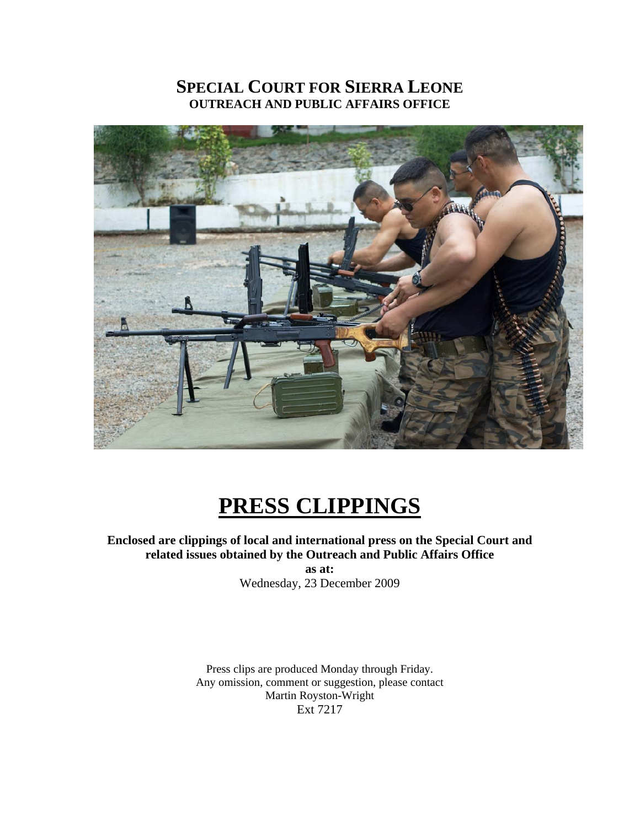# **SPECIAL COURT FOR SIERRA LEONE OUTREACH AND PUBLIC AFFAIRS OFFICE**



# **PRESS CLIPPINGS**

**Enclosed are clippings of local and international press on the Special Court and related issues obtained by the Outreach and Public Affairs Office** 

**as at:**  Wednesday, 23 December 2009

Press clips are produced Monday through Friday. Any omission, comment or suggestion, please contact Martin Royston-Wright Ext 7217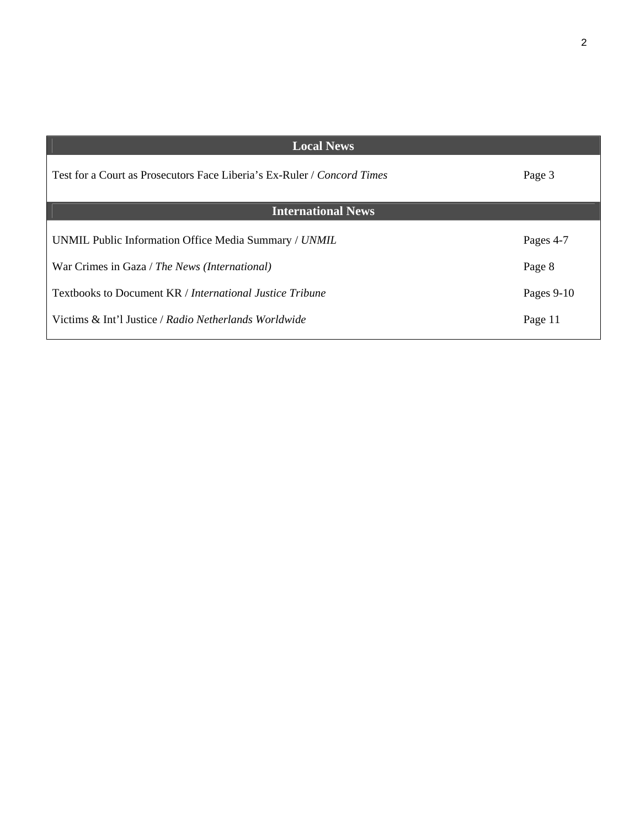| <b>Local News</b>                                                       |            |
|-------------------------------------------------------------------------|------------|
| Test for a Court as Prosecutors Face Liberia's Ex-Ruler / Concord Times | Page 3     |
| <b>International News</b>                                               |            |
| UNMIL Public Information Office Media Summary / UNMIL                   | Pages 4-7  |
| War Crimes in Gaza / The News (International)                           | Page 8     |
| Textbooks to Document KR / International Justice Tribune                | Pages 9-10 |
| Victims & Int'l Justice / Radio Netherlands Worldwide                   | Page 11    |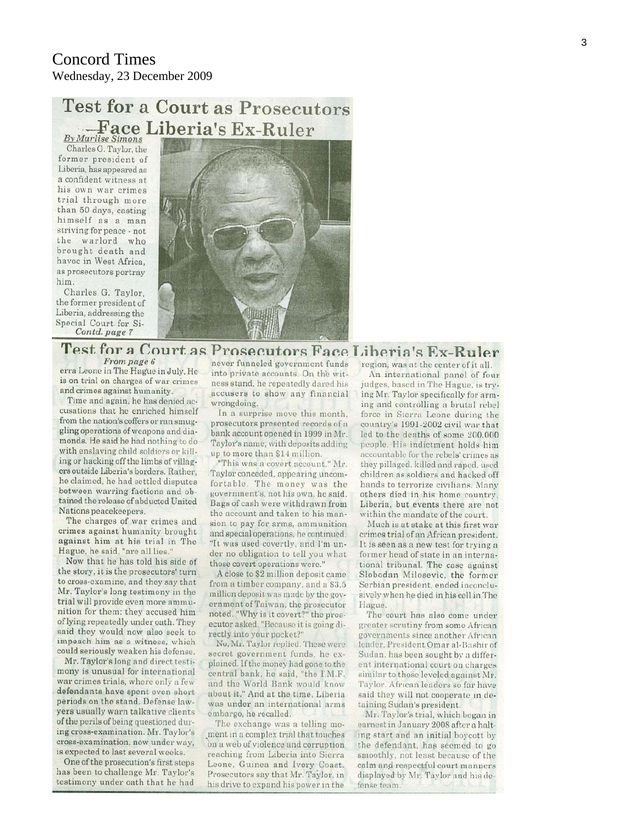# **Test for a Court as Prosecutors** -Face Liberia's Ex-Ruler **By Marlise Simons**

Charles G. Taylor, the former president of Liberia, has appeared as a confident witness at his own war crimes trial through more than 50 days, casting himself as a man striving for peace - not the warlord who brought death and havoc in West Africa. as prosecutors portray him.

Charles G. Taylor. the former president of Liberia, addressing the Special Court for Si-Contd. page 7



# Test for a Court as Prosecutors Face Liberia's Ex-Ruler

From page 6 erra Leone in The Hague in July. He is on trial on charges of war crimes and crimes against humanity.

Time and again, he has denied accusations that he enriched himself from the nation's coffers or ran smuggling operations of weapons and diamonds. He said he had nothing to do with enslaving child soldiers or killing or hacking off the limbs of villagers outside Liberia's borders. Rather, he claimed, he had settled disputes between warring factions and obtained the release of abducted United Nations peacekeepers.

The charges of war crimes and crimes against humanity brought against him at his trial in The Hague, he said, "are all lies."

Now that he has told his side of the story, it is the prosecutors' turn to cross-examine, and they say that Mr. Taylor's long testimony in the trial will provide even more ammunition for them: they accused him of lying repeatedly under oath. They said they would now also seek to impeach him as a witness, which could seriously weaken his defense.

Mr. Taylor's long and direct testimony is unusual for international war crimes trials, where only a few defendants have spent even short periods on the stand. Defense lawyers usually warn talkative clients of the perils of being questioned during cross-examination. Mr. Taylor's cross-examination, now under way, is expected to last several weeks.

One of the prosecution's first steps has been to challenge Mr. Taylor's testimony under oath that he had

never funneled government funds into private accounts. On the witness stand, he repeatedly dared his accusers to show any financial wrongdoing.

In a surprise move this month. prosecutors presented records of a bank account opened in 1999 in Mr. Taylor's name, with deposits adding up to more than \$14 million.

"This was a covert account," Mr. Taylor conceded, appearing uncomfortable. The money was the government's, not his own, he said. Bags of cash were withdrawn from the account and taken to his mansion to pay for arms, ammunition and special operations, he continued. "It was used covertly, and I'm under no obligation to tell you what those covert operations were."

A close to \$2 million deposit came from a timber company, and a \$3.5 million deposit was made by the government of Taiwan, the prosecutor noted. "Why is it covert?" the prosecutor asked. "Because it is going directly into your pocket?"

No, Mr. Taylor replied. These were secret government funds, he explained. If the money had gone to the central bank, he said, "the I.M.F. and the World Bank would know about it." And at the time, Liberia was under an international arms embargo, he recalled.

The exchange was a telling moment in a complex trial that touches on a web of violence and corruption reaching from Liberia into Sierra Leone, Guinea and Ivory Coast. Prosecutors say that Mr. Taylor, in his drive to expand his power in the

region, was at the center of it all. An international panel of four judges, based in The Hague, is trying Mr. Taylor specifically for arming and controlling a brutal rebel force in Sierra Leone during the country's 1991-2002 civil war that led to the deaths of some 200,000 people. His indictment holds him accountable for the rebels' crimes as they pillaged, killed and raped, used children as soldiers and hacked off hands to terrorize civilians. Many others died in his home country. Liberia, but events there are not within the mandate of the court.

Much is at stake at this first war crimes trial of an African president. It is seen as a new test for trying a former head of state in an international tribunal. The case against Slobodan Milosevic, the former Serbian president, ended inconclusively when he died in his cell in The Hague.

The court has also come under greater scrutiny from some African governments since another African leader, President Omar al-Bashir of Sudan, has been sought by a different international court on charges similar to those leveled against Mr. Taylor. African leaders so far have said they will not cooperate in detaining Sudan's president.

Mr. Taylor's trial, which began in earnest in January 2008 after a halting start and an initial boycott by the defendant, has seemed to go smoothly, not least because of the calm and respectful court manners displayed by Mr. Taylor and his defense team.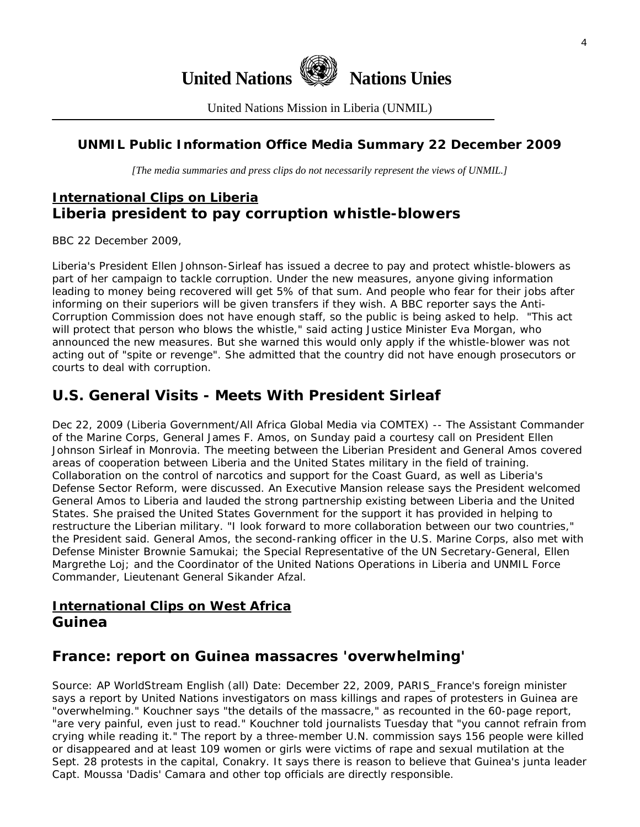

United Nations Mission in Liberia (UNMIL)

# **UNMIL Public Information Office Media Summary 22 December 2009**

*[The media summaries and press clips do not necessarily represent the views of UNMIL.]* 

# **International Clips on Liberia Liberia president to pay corruption whistle-blowers**

BBC 22 December 2009,

Liberia's President Ellen Johnson-Sirleaf has issued a decree to pay and protect whistle-blowers as part of her campaign to tackle corruption. Under the new measures, anyone giving information leading to money being recovered will get 5% of that sum. And people who fear for their jobs after informing on their superiors will be given transfers if they wish. A BBC reporter says the Anti-Corruption Commission does not have enough staff, so the public is being asked to help. "This act will protect that person who blows the whistle," said acting Justice Minister Eva Morgan, who announced the new measures. But she warned this would only apply if the whistle-blower was not acting out of "spite or revenge". She admitted that the country did not have enough prosecutors or courts to deal with corruption.

# **U.S. General Visits - Meets With President Sirleaf**

Dec 22, 2009 (Liberia Government/All Africa Global Media via COMTEX) -- The Assistant Commander of the Marine Corps, General James F. Amos, on Sunday paid a courtesy call on President Ellen Johnson Sirleaf in Monrovia. The meeting between the Liberian President and General Amos covered areas of cooperation between Liberia and the United States military in the field of training. Collaboration on the control of narcotics and support for the Coast Guard, as well as Liberia's Defense Sector Reform, were discussed. An Executive Mansion release says the President welcomed General Amos to Liberia and lauded the strong partnership existing between Liberia and the United States. She praised the United States Government for the support it has provided in helping to restructure the Liberian military. "I look forward to more collaboration between our two countries," the President said. General Amos, the second-ranking officer in the U.S. Marine Corps, also met with Defense Minister Brownie Samukai; the Special Representative of the UN Secretary-General, Ellen Margrethe Loj; and the Coordinator of the United Nations Operations in Liberia and UNMIL Force Commander, Lieutenant General Sikander Afzal.

# **International Clips on West Africa Guinea**

# **France: report on Guinea massacres 'overwhelming'**

Source: AP WorldStream English (all) Date: December 22, 2009, PARIS\_France's foreign minister says a report by United Nations investigators on mass killings and rapes of protesters in Guinea are "overwhelming." Kouchner says "the details of the massacre," as recounted in the 60-page report, "are very painful, even just to read." Kouchner told journalists Tuesday that "you cannot refrain from crying while reading it." The report by a three-member U.N. commission says 156 people were killed or disappeared and at least 109 women or girls were victims of rape and sexual mutilation at the Sept. 28 protests in the capital, Conakry. It says there is reason to believe that Guinea's junta leader Capt. Moussa 'Dadis' Camara and other top officials are directly responsible.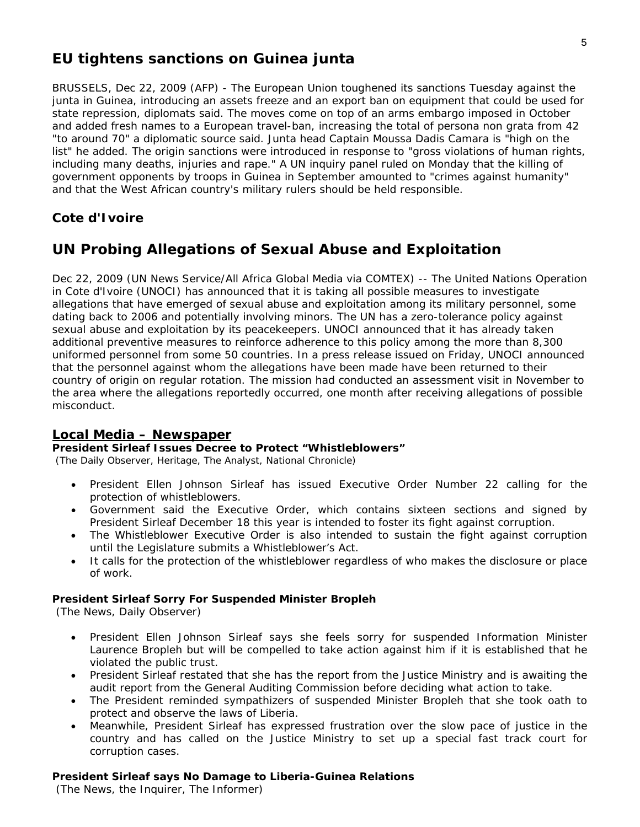# **EU tightens sanctions on Guinea junta**

BRUSSELS, Dec 22, 2009 (AFP) - The European Union toughened its sanctions Tuesday against the junta in Guinea, introducing an assets freeze and an export ban on equipment that could be used for state repression, diplomats said. The moves come on top of an arms embargo imposed in October and added fresh names to a European travel-ban, increasing the total of persona non grata from 42 "to around 70" a diplomatic source said. Junta head Captain Moussa Dadis Camara is "high on the list" he added. The origin sanctions were introduced in response to "gross violations of human rights, including many deaths, injuries and rape." A UN inquiry panel ruled on Monday that the killing of government opponents by troops in Guinea in September amounted to "crimes against humanity" and that the West African country's military rulers should be held responsible.

# **Cote d'Ivoire**

# **UN Probing Allegations of Sexual Abuse and Exploitation**

Dec 22, 2009 (UN News Service/All Africa Global Media via COMTEX) -- The United Nations Operation in Cote d'Ivoire (UNOCI) has announced that it is taking all possible measures to investigate allegations that have emerged of sexual abuse and exploitation among its military personnel, some dating back to 2006 and potentially involving minors. The UN has a zero-tolerance policy against sexual abuse and exploitation by its peacekeepers. UNOCI announced that it has already taken additional preventive measures to reinforce adherence to this policy among the more than 8,300 uniformed personnel from some 50 countries. In a press release issued on Friday, UNOCI announced that the personnel against whom the allegations have been made have been returned to their country of origin on regular rotation. The mission had conducted an assessment visit in November to the area where the allegations reportedly occurred, one month after receiving allegations of possible misconduct.

### **Local Media – Newspaper**

#### **President Sirleaf Issues Decree to Protect "Whistleblowers"**

(The Daily Observer, Heritage, The Analyst, National Chronicle)

- President Ellen Johnson Sirleaf has issued Executive Order Number 22 calling for the protection of whistleblowers.
- Government said the Executive Order, which contains sixteen sections and signed by President Sirleaf December 18 this year is intended to foster its fight against corruption.
- The Whistleblower Executive Order is also intended to sustain the fight against corruption until the Legislature submits a Whistleblower's Act.
- It calls for the protection of the whistleblower regardless of who makes the disclosure or place of work.

#### **President Sirleaf Sorry For Suspended Minister Bropleh**

(The News, Daily Observer)

- President Ellen Johnson Sirleaf says she feels sorry for suspended Information Minister Laurence Bropleh but will be compelled to take action against him if it is established that he violated the public trust.
- President Sirleaf restated that she has the report from the Justice Ministry and is awaiting the audit report from the General Auditing Commission before deciding what action to take.
- The President reminded sympathizers of suspended Minister Bropleh that she took oath to protect and observe the laws of Liberia.
- Meanwhile, President Sirleaf has expressed frustration over the slow pace of justice in the country and has called on the Justice Ministry to set up a special fast track court for corruption cases.

#### **President Sirleaf says No Damage to Liberia-Guinea Relations**

(The News, the Inquirer, The Informer)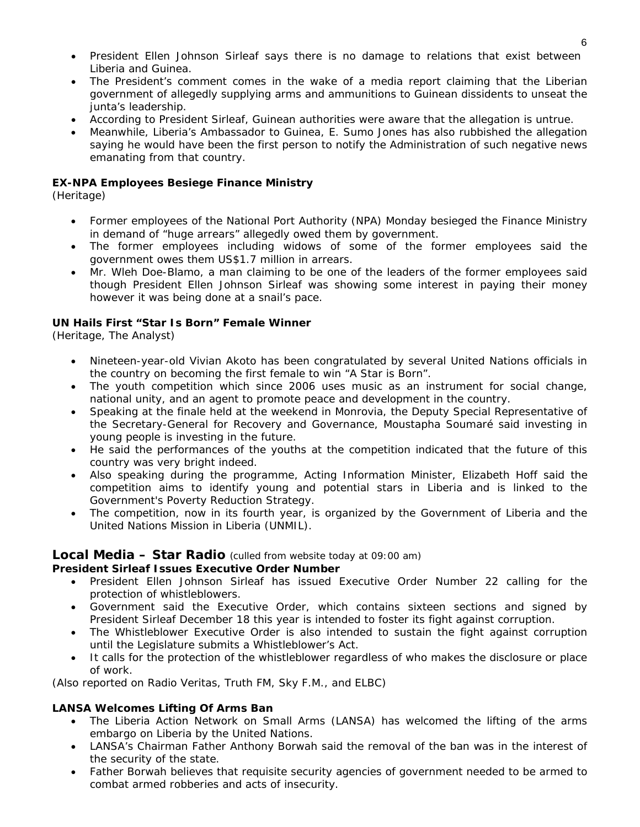- President Ellen Johnson Sirleaf says there is no damage to relations that exist between Liberia and Guinea.
- The President's comment comes in the wake of a media report claiming that the Liberian government of allegedly supplying arms and ammunitions to Guinean dissidents to unseat the junta's leadership.
- According to President Sirleaf, Guinean authorities were aware that the allegation is untrue.
- Meanwhile, Liberia's Ambassador to Guinea, E. Sumo Jones has also rubbished the allegation saying he would have been the first person to notify the Administration of such negative news emanating from that country.

#### **EX-NPA Employees Besiege Finance Ministry**

(Heritage)

- Former employees of the National Port Authority (NPA) Monday besieged the Finance Ministry in demand of "huge arrears" allegedly owed them by government.
- The former employees including widows of some of the former employees said the government owes them US\$1.7 million in arrears.
- Mr. Wleh Doe-Blamo, a man claiming to be one of the leaders of the former employees said though President Ellen Johnson Sirleaf was showing some interest in paying their money however it was being done at a snail's pace.

#### **UN Hails First "Star Is Born" Female Winner**

(Heritage, The Analyst)

- Nineteen-year-old Vivian Akoto has been congratulated by several United Nations officials in the country on becoming the first female to win "A Star is Born".
- The youth competition which since 2006 uses music as an instrument for social change, national unity, and an agent to promote peace and development in the country.
- Speaking at the finale held at the weekend in Monrovia, the Deputy Special Representative of the Secretary-General for Recovery and Governance, Moustapha Soumaré said investing in young people is investing in the future.
- He said the performances of the youths at the competition indicated that the future of this country was very bright indeed.
- Also speaking during the programme, Acting Information Minister, Elizabeth Hoff said the competition aims to identify young and potential stars in Liberia and is linked to the Government's Poverty Reduction Strategy.
- The competition, now in its fourth year, is organized by the Government of Liberia and the United Nations Mission in Liberia (UNMIL).

#### **Local Media – Star Radio** *(culled from website today at 09:00 am)*

#### **President Sirleaf Issues Executive Order Number**

- President Ellen Johnson Sirleaf has issued Executive Order Number 22 calling for the protection of whistleblowers.
- Government said the Executive Order, which contains sixteen sections and signed by President Sirleaf December 18 this year is intended to foster its fight against corruption.
- The Whistleblower Executive Order is also intended to sustain the fight against corruption until the Legislature submits a Whistleblower's Act.
- It calls for the protection of the whistleblower regardless of who makes the disclosure or place of work.

*(Also reported on Radio Veritas, Truth FM, Sky F.M., and ELBC)*

#### **LANSA Welcomes Lifting Of Arms Ban**

- The Liberia Action Network on Small Arms (LANSA) has welcomed the lifting of the arms embargo on Liberia by the United Nations.
- LANSA's Chairman Father Anthony Borwah said the removal of the ban was in the interest of the security of the state.
- Father Borwah believes that requisite security agencies of government needed to be armed to combat armed robberies and acts of insecurity.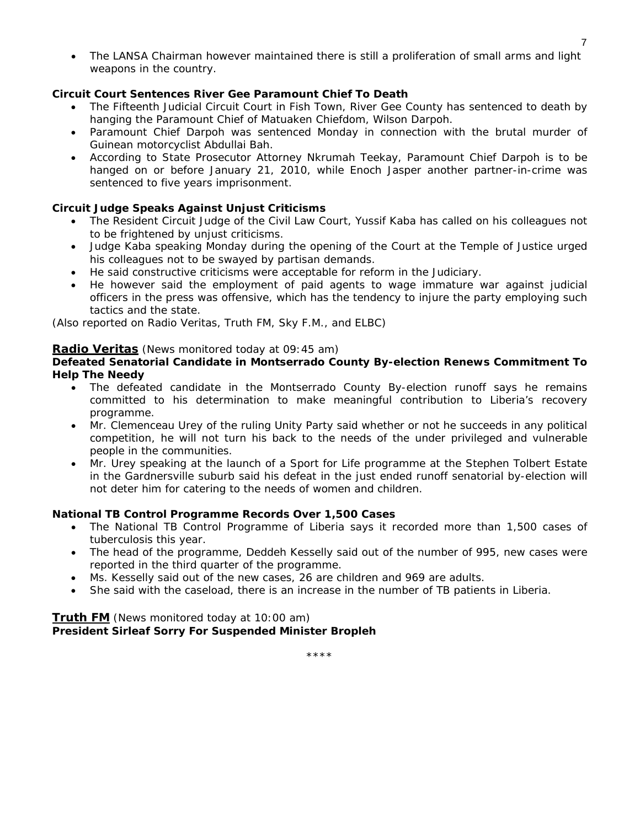• The LANSA Chairman however maintained there is still a proliferation of small arms and light weapons in the country.

#### **Circuit Court Sentences River Gee Paramount Chief To Death**

- The Fifteenth Judicial Circuit Court in Fish Town, River Gee County has sentenced to death by hanging the Paramount Chief of Matuaken Chiefdom, Wilson Darpoh.
- Paramount Chief Darpoh was sentenced Monday in connection with the brutal murder of Guinean motorcyclist Abdullai Bah.
- According to State Prosecutor Attorney Nkrumah Teekay, Paramount Chief Darpoh is to be hanged on or before January 21, 2010, while Enoch Jasper another partner-in-crime was sentenced to five years imprisonment.

#### **Circuit Judge Speaks Against Unjust Criticisms**

- The Resident Circuit Judge of the Civil Law Court, Yussif Kaba has called on his colleagues not to be frightened by unjust criticisms.
- Judge Kaba speaking Monday during the opening of the Court at the Temple of Justice urged his colleagues not to be swayed by partisan demands.
- He said constructive criticisms were acceptable for reform in the Judiciary.
- He however said the employment of paid agents to wage immature war against judicial officers in the press was offensive, which has the tendency to injure the party employing such tactics and the state.

*(Also reported on Radio Veritas, Truth FM, Sky F.M., and ELBC)*

#### **Radio Veritas** *(News monitored today at 09:45 am)*

#### **Defeated Senatorial Candidate in Montserrado County By-election Renews Commitment To Help The Needy**

- The defeated candidate in the Montserrado County By-election runoff says he remains committed to his determination to make meaningful contribution to Liberia's recovery programme.
- Mr. Clemenceau Urey of the ruling Unity Party said whether or not he succeeds in any political competition, he will not turn his back to the needs of the under privileged and vulnerable people in the communities.
- Mr. Urey speaking at the launch of a Sport for Life programme at the Stephen Tolbert Estate in the Gardnersville suburb said his defeat in the just ended runoff senatorial by-election will not deter him for catering to the needs of women and children.

#### **National TB Control Programme Records Over 1,500 Cases**

- The National TB Control Programme of Liberia says it recorded more than 1,500 cases of tuberculosis this year.
- The head of the programme, Deddeh Kesselly said out of the number of 995, new cases were reported in the third quarter of the programme.
- Ms. Kesselly said out of the new cases, 26 are children and 969 are adults.
- She said with the caseload, there is an increase in the number of TB patients in Liberia.

#### **Truth FM** *(News monitored today at 10:00 am)* **President Sirleaf Sorry For Suspended Minister Bropleh**

7

\*\*\*\*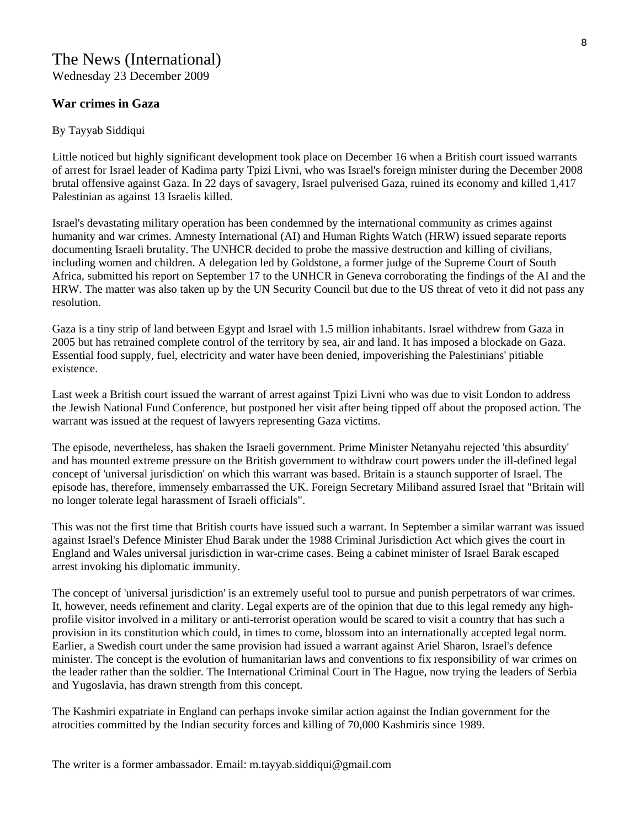### The News (International)

Wednesday 23 December 2009

#### **War crimes in Gaza**

#### By Tayyab Siddiqui

Little noticed but highly significant development took place on December 16 when a British court issued warrants of arrest for Israel leader of Kadima party Tpizi Livni, who was Israel's foreign minister during the December 2008 brutal offensive against Gaza. In 22 days of savagery, Israel pulverised Gaza, ruined its economy and killed 1,417 Palestinian as against 13 Israelis killed.

Israel's devastating military operation has been condemned by the international community as crimes against humanity and war crimes. Amnesty International (AI) and Human Rights Watch (HRW) issued separate reports documenting Israeli brutality. The UNHCR decided to probe the massive destruction and killing of civilians, including women and children. A delegation led by Goldstone, a former judge of the Supreme Court of South Africa, submitted his report on September 17 to the UNHCR in Geneva corroborating the findings of the AI and the HRW. The matter was also taken up by the UN Security Council but due to the US threat of veto it did not pass any resolution.

Gaza is a tiny strip of land between Egypt and Israel with 1.5 million inhabitants. Israel withdrew from Gaza in 2005 but has retrained complete control of the territory by sea, air and land. It has imposed a blockade on Gaza. Essential food supply, fuel, electricity and water have been denied, impoverishing the Palestinians' pitiable existence.

Last week a British court issued the warrant of arrest against Tpizi Livni who was due to visit London to address the Jewish National Fund Conference, but postponed her visit after being tipped off about the proposed action. The warrant was issued at the request of lawyers representing Gaza victims.

The episode, nevertheless, has shaken the Israeli government. Prime Minister Netanyahu rejected 'this absurdity' and has mounted extreme pressure on the British government to withdraw court powers under the ill-defined legal concept of 'universal jurisdiction' on which this warrant was based. Britain is a staunch supporter of Israel. The episode has, therefore, immensely embarrassed the UK. Foreign Secretary Miliband assured Israel that "Britain will no longer tolerate legal harassment of Israeli officials".

This was not the first time that British courts have issued such a warrant. In September a similar warrant was issued against Israel's Defence Minister Ehud Barak under the 1988 Criminal Jurisdiction Act which gives the court in England and Wales universal jurisdiction in war-crime cases. Being a cabinet minister of Israel Barak escaped arrest invoking his diplomatic immunity.

The concept of 'universal jurisdiction' is an extremely useful tool to pursue and punish perpetrators of war crimes. It, however, needs refinement and clarity. Legal experts are of the opinion that due to this legal remedy any highprofile visitor involved in a military or anti-terrorist operation would be scared to visit a country that has such a provision in its constitution which could, in times to come, blossom into an internationally accepted legal norm. Earlier, a Swedish court under the same provision had issued a warrant against Ariel Sharon, Israel's defence minister. The concept is the evolution of humanitarian laws and conventions to fix responsibility of war crimes on the leader rather than the soldier. The International Criminal Court in The Hague, now trying the leaders of Serbia and Yugoslavia, has drawn strength from this concept.

The Kashmiri expatriate in England can perhaps invoke similar action against the Indian government for the atrocities committed by the Indian security forces and killing of 70,000 Kashmiris since 1989.

The writer is a former ambassador. Email: m.tayyab.siddiqui@gmail.com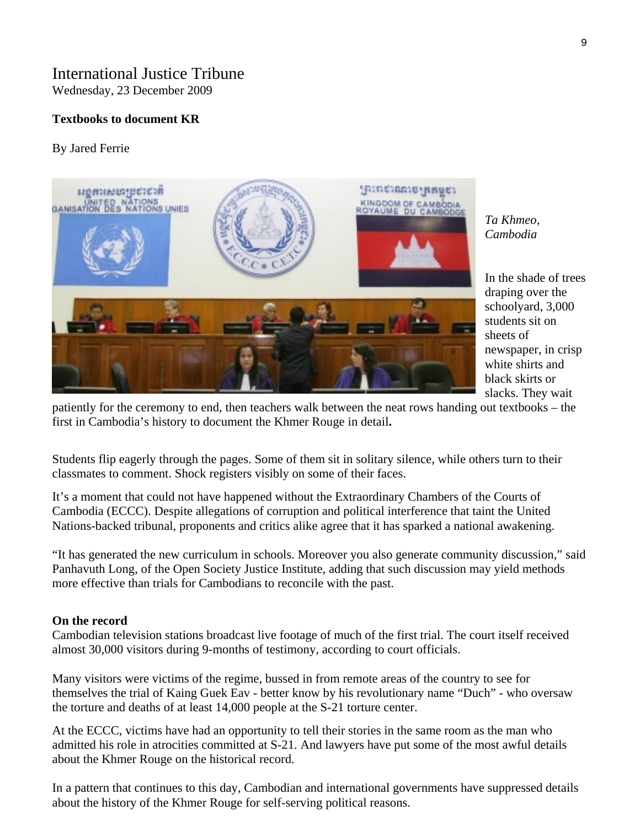# International Justice Tribune Wednesday, 23 December 2009

#### **Textbooks to document KR**

#### By Jared Ferrie



*Ta Khmeo, Cambodia* 

In the shade of trees draping over the schoolyard, 3,000 students sit on sheets of newspaper, in crisp white shirts and black skirts or slacks. They wait

patiently for the ceremony to end, then teachers walk between the neat rows handing out textbooks – the first in Cambodia's history to document the Khmer Rouge in detail**.**

Students flip eagerly through the pages. Some of them sit in solitary silence, while others turn to their classmates to comment. Shock registers visibly on some of their faces.

It's a moment that could not have happened without the Extraordinary Chambers of the Courts of Cambodia (ECCC). Despite allegations of corruption and political interference that taint the United Nations-backed tribunal, proponents and critics alike agree that it has sparked a national awakening.

"It has generated the new curriculum in schools. Moreover you also generate community discussion," said Panhavuth Long, of the Open Society Justice Institute, adding that such discussion may yield methods more effective than trials for Cambodians to reconcile with the past.

#### **On the record**

Cambodian television stations broadcast live footage of much of the first trial. The court itself received almost 30,000 visitors during 9-months of testimony, according to court officials.

Many visitors were victims of the regime, bussed in from remote areas of the country to see for themselves the trial of Kaing Guek Eav - better know by his revolutionary name "Duch" - who oversaw the torture and deaths of at least 14,000 people at the S-21 torture center.

At the ECCC, victims have had an opportunity to tell their stories in the same room as the man who admitted his role in atrocities committed at S-21. And lawyers have put some of the most awful details about the Khmer Rouge on the historical record.

In a pattern that continues to this day, Cambodian and international governments have suppressed details about the history of the Khmer Rouge for self-serving political reasons.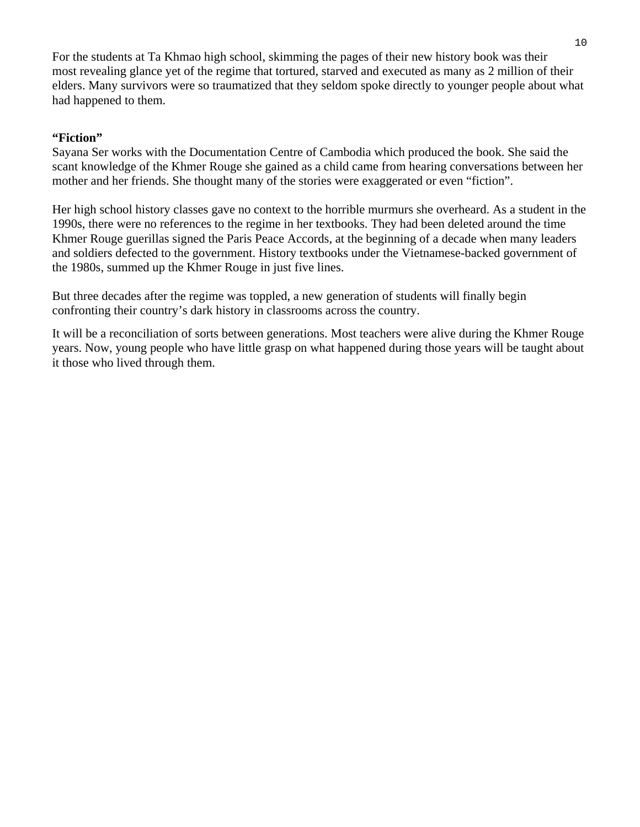For the students at Ta Khmao high school, skimming the pages of their new history book was their most revealing glance yet of the regime that tortured, starved and executed as many as 2 million of their elders. Many survivors were so traumatized that they seldom spoke directly to younger people about what had happened to them.

#### **"Fiction"**

Sayana Ser works with the Documentation Centre of Cambodia which produced the book. She said the scant knowledge of the Khmer Rouge she gained as a child came from hearing conversations between her mother and her friends. She thought many of the stories were exaggerated or even "fiction".

Her high school history classes gave no context to the horrible murmurs she overheard. As a student in the 1990s, there were no references to the regime in her textbooks. They had been deleted around the time Khmer Rouge guerillas signed the Paris Peace Accords, at the beginning of a decade when many leaders and soldiers defected to the government. History textbooks under the Vietnamese-backed government of the 1980s, summed up the Khmer Rouge in just five lines.

But three decades after the regime was toppled, a new generation of students will finally begin confronting their country's dark history in classrooms across the country.

It will be a reconciliation of sorts between generations. Most teachers were alive during the Khmer Rouge years. Now, young people who have little grasp on what happened during those years will be taught about it those who lived through them.